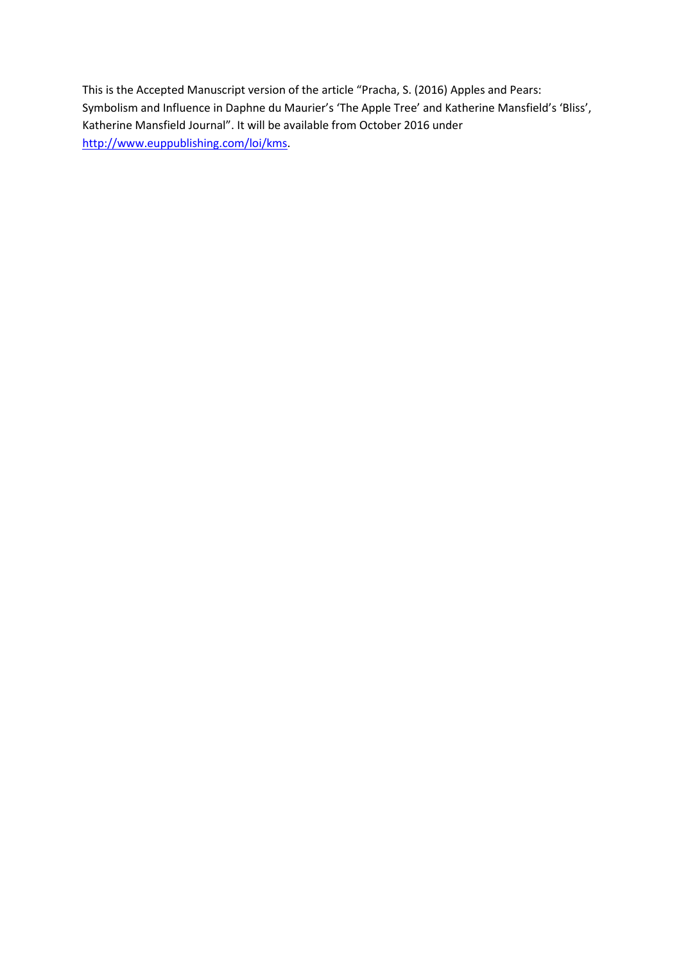This is the Accepted Manuscript version of the article "Pracha, S. (2016) Apples and Pears: Symbolism and Influence in Daphne du Maurier's 'The Apple Tree' and Katherine Mansfield's 'Bliss', Katherine Mansfield Journal". It will be available from October 2016 under [http://www.euppublishing.com/loi/kms.](http://www.euppublishing.com/loi/kms)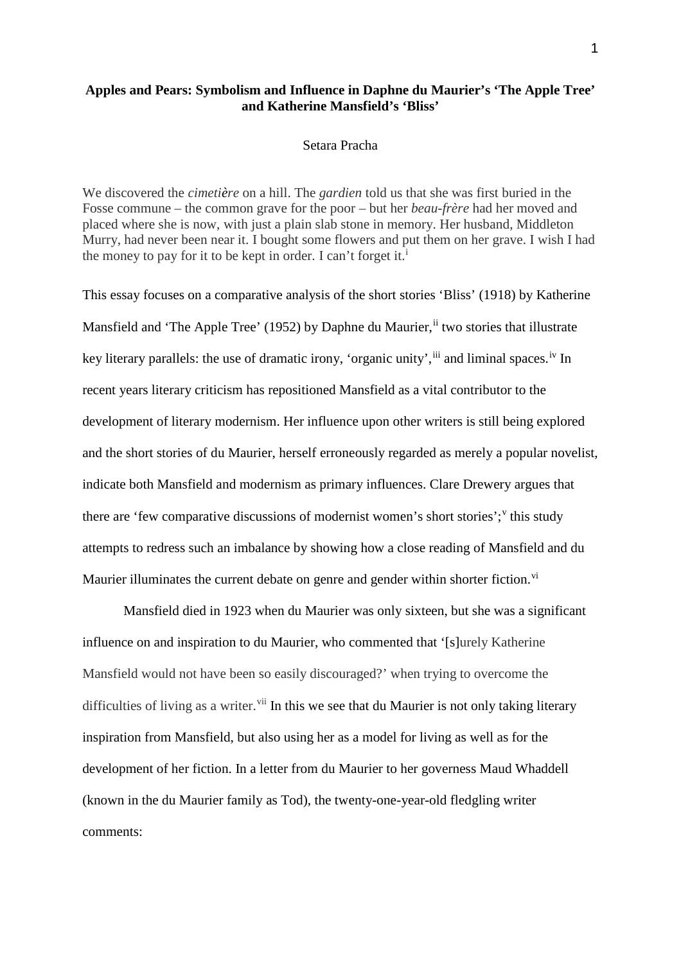## **Apples and Pears: Symbolism and Influence in Daphne du Maurier's 'The Apple Tree' and Katherine Mansfield's 'Bliss'**

## Setara Pracha

We discovered the *cimetière* on a hill. The *gardien* told us that she was first buried in the Fosse commune – the common grave for the poor – but her *beau-frère* had her moved and placed where she is now, with just a plain slab stone in memory. Her husband, Middleton Murry, had never been near it. I bought some flowers and put them on her grave. I wish I had the money to pay for [i](#page-3-0)t to be kept in order. I can't forget it.<sup>i</sup>

This essay focuses on a comparative analysis of the short stories 'Bliss' (1918) by Katherine Mansfield and 'The Apple Tree' (1952) by Daphne du Maurier, in two stories that illustrate key literary parallels: the use of dramatic irony, 'organic unity', <sup>[iii](#page-4-1)</sup> and liminal spaces.<sup>[iv](#page-4-2)</sup> In recent years literary criticism has repositioned Mansfield as a vital contributor to the development of literary modernism. Her influence upon other writers is still being explored and the short stories of du Maurier, herself erroneously regarded as merely a popular novelist, indicate both Mansfield and modernism as primary influences. Clare Drewery argues that there are 'few comparati[v](#page-4-3)e discussions of modernist women's short stories'; this study attempts to redress such an imbalance by showing how a close reading of Mansfield and du Maurier illuminates the current debate on genre and gender within shorter fiction.<sup>[vi](#page-4-4)</sup>

Mansfield died in 1923 when du Maurier was only sixteen, but she was a significant influence on and inspiration to du Maurier, who commented that '[s]urely Katherine Mansfield would not have been so easily discouraged?' when trying to overcome the difficulties of living as a writer.<sup>[vii](#page-4-5)</sup> In this we see that du Maurier is not only taking literary inspiration from Mansfield, but also using her as a model for living as well as for the development of her fiction. In a letter from du Maurier to her governess Maud Whaddell (known in the du Maurier family as Tod), the twenty-one-year-old fledgling writer comments: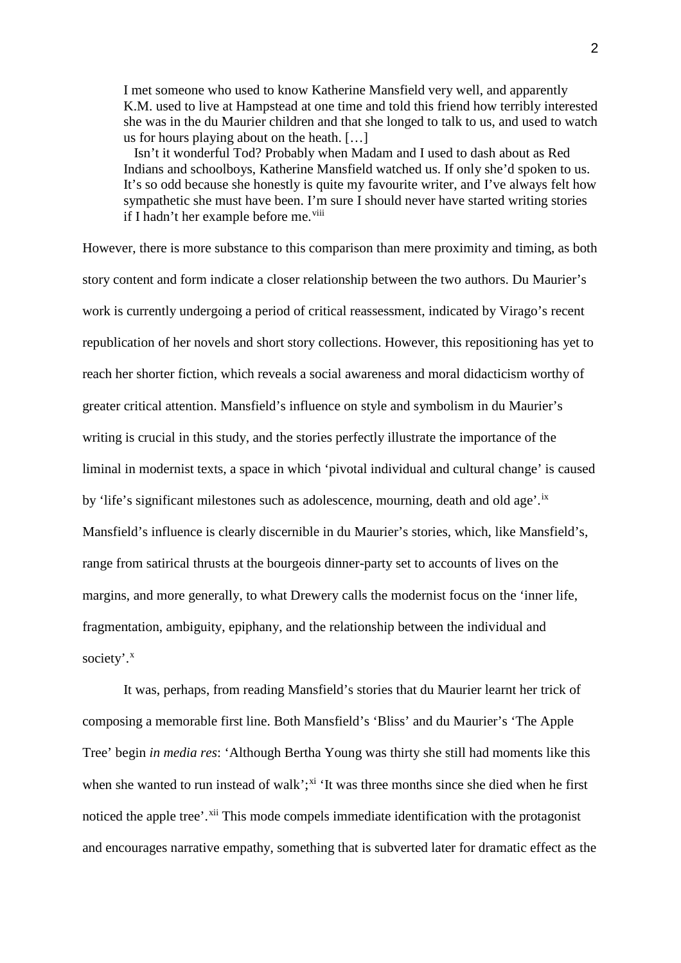I met someone who used to know Katherine Mansfield very well, and apparently K.M. used to live at Hampstead at one time and told this friend how terribly interested she was in the du Maurier children and that she longed to talk to us, and used to watch us for hours playing about on the heath. […]

 Isn't it wonderful Tod? Probably when Madam and I used to dash about as Red Indians and schoolboys, Katherine Mansfield watched us. If only she'd spoken to us. It's so odd because she honestly is quite my favourite writer, and I've always felt how sympathetic she must have been. I'm sure I should never have started writing stories if I hadn't her example before me.<sup>[viii](#page-4-6)</sup>

However, there is more substance to this comparison than mere proximity and timing, as both story content and form indicate a closer relationship between the two authors. Du Maurier's work is currently undergoing a period of critical reassessment, indicated by Virago's recent republication of her novels and short story collections. However, this repositioning has yet to reach her shorter fiction, which reveals a social awareness and moral didacticism worthy of greater critical attention. Mansfield's influence on style and symbolism in du Maurier's writing is crucial in this study, and the stories perfectly illustrate the importance of the liminal in modernist texts, a space in which 'pivotal individual and cultural change' is caused by 'life's significant milestones such as adolescence, mourning, death and old age'.<sup>[ix](#page-4-7)</sup> Mansfield's influence is clearly discernible in du Maurier's stories, which, like Mansfield's, range from satirical thrusts at the bourgeois dinner-party set to accounts of lives on the margins, and more generally, to what Drewery calls the modernist focus on the 'inner life, fragmentation, ambiguity, epiphany, and the relationship between the individual and society'.<sup>[x](#page-4-8)</sup>

It was, perhaps, from reading Mansfield's stories that du Maurier learnt her trick of composing a memorable first line. Both Mansfield's 'Bliss' and du Maurier's 'The Apple Tree' begin *in media res*: 'Although Bertha Young was thirty she still had moments like this when she wanted to run instead of walk';<sup>[xi](#page-5-0)</sup> 'It was three months since she died when he first noticed the apple tree'.<sup>[xii](#page-5-1)</sup> This mode compels immediate identification with the protagonist and encourages narrative empathy, something that is subverted later for dramatic effect as the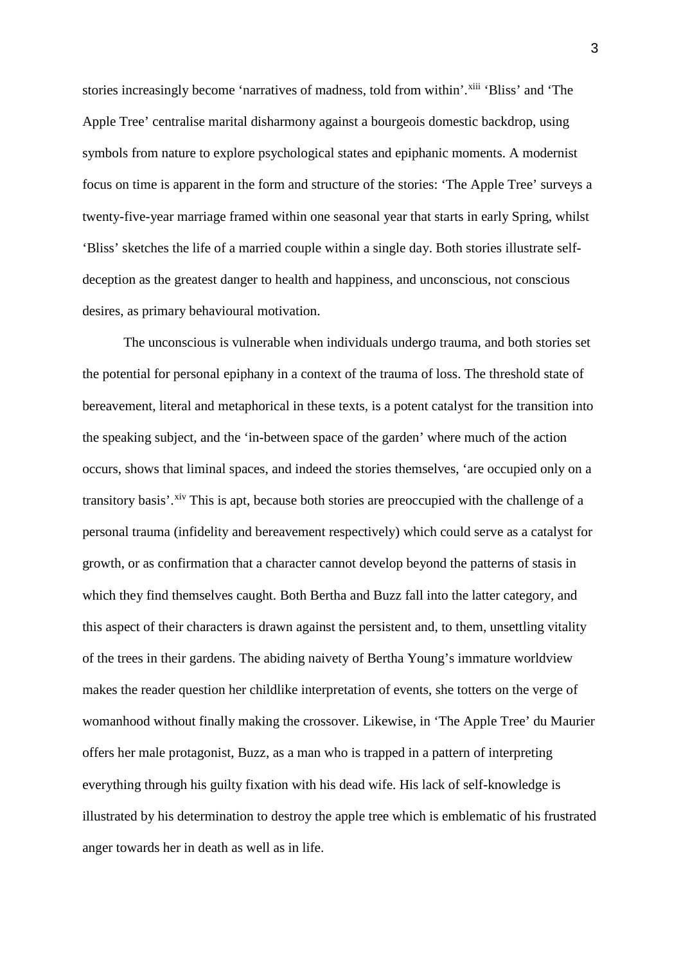stories increasingly become 'narratives of madness, told from within'. [xiii](#page-5-2) 'Bliss' and 'The Apple Tree' centralise marital disharmony against a bourgeois domestic backdrop, using symbols from nature to explore psychological states and epiphanic moments. A modernist focus on time is apparent in the form and structure of the stories: 'The Apple Tree' surveys a twenty-five-year marriage framed within one seasonal year that starts in early Spring, whilst 'Bliss' sketches the life of a married couple within a single day. Both stories illustrate selfdeception as the greatest danger to health and happiness, and unconscious, not conscious desires, as primary behavioural motivation.

<span id="page-3-0"></span>The unconscious is vulnerable when individuals undergo trauma, and both stories set the potential for personal epiphany in a context of the trauma of loss. The threshold state of bereavement, literal and metaphorical in these texts, is a potent catalyst for the transition into the speaking subject, and the 'in-between space of the garden' where much of the action occurs, shows that liminal spaces, and indeed the stories themselves, 'are occupied only on a transitory basis'.<sup>[xiv](#page-5-3)</sup> This is apt, because both stories are preoccupied with the challenge of a personal trauma (infidelity and bereavement respectively) which could serve as a catalyst for growth, or as confirmation that a character cannot develop beyond the patterns of stasis in which they find themselves caught. Both Bertha and Buzz fall into the latter category, and this aspect of their characters is drawn against the persistent and, to them, unsettling vitality of the trees in their gardens. The abiding naivety of Bertha Young's immature worldview makes the reader question her childlike interpretation of events, she totters on the verge of womanhood without finally making the crossover. Likewise, in 'The Apple Tree' du Maurier offers her male protagonist, Buzz, as a man who is trapped in a pattern of interpreting everything through his guilty fixation with his dead wife. His lack of self-knowledge is illustrated by his determination to destroy the apple tree which is emblematic of his frustrated anger towards her in death as well as in life.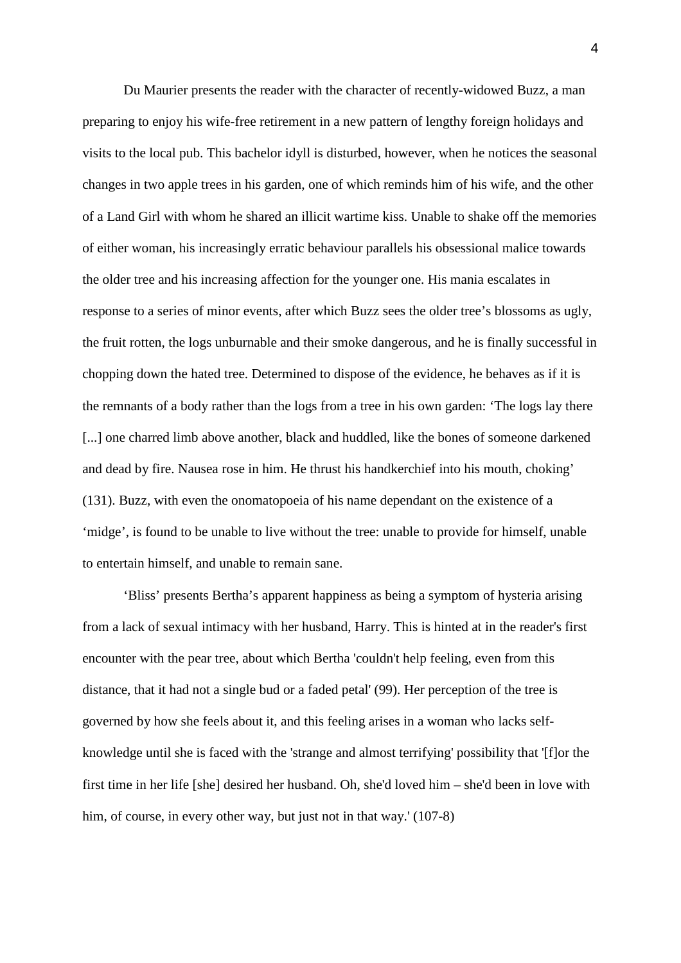<span id="page-4-2"></span><span id="page-4-1"></span><span id="page-4-0"></span>Du Maurier presents the reader with the character of recently-widowed Buzz, a man preparing to enjoy his wife-free retirement in a new pattern of lengthy foreign holidays and visits to the local pub. This bachelor idyll is disturbed, however, when he notices the seasonal changes in two apple trees in his garden, one of which reminds him of his wife, and the other of a Land Girl with whom he shared an illicit wartime kiss. Unable to shake off the memories of either woman, his increasingly erratic behaviour parallels his obsessional malice towards the older tree and his increasing affection for the younger one. His mania escalates in response to a series of minor events, after which Buzz sees the older tree's blossoms as ugly, the fruit rotten, the logs unburnable and their smoke dangerous, and he is finally successful in chopping down the hated tree. Determined to dispose of the evidence, he behaves as if it is the remnants of a body rather than the logs from a tree in his own garden: 'The logs lay there [...] one charred limb above another, black and huddled, like the bones of someone darkened and dead by fire. Nausea rose in him. He thrust his handkerchief into his mouth, choking' (131). Buzz, with even the onomatopoeia of his name dependant on the existence of a 'midge', is found to be unable to live without the tree: unable to provide for himself, unable to entertain himself, and unable to remain sane.

<span id="page-4-8"></span><span id="page-4-7"></span><span id="page-4-6"></span><span id="page-4-5"></span><span id="page-4-4"></span><span id="page-4-3"></span>'Bliss' presents Bertha's apparent happiness as being a symptom of hysteria arising from a lack of sexual intimacy with her husband, Harry. This is hinted at in the reader's first encounter with the pear tree, about which Bertha 'couldn't help feeling, even from this distance, that it had not a single bud or a faded petal' (99). Her perception of the tree is governed by how she feels about it, and this feeling arises in a woman who lacks selfknowledge until she is faced with the 'strange and almost terrifying' possibility that '[f]or the first time in her life [she] desired her husband. Oh, she'd loved him – she'd been in love with him, of course, in every other way, but just not in that way.' (107-8)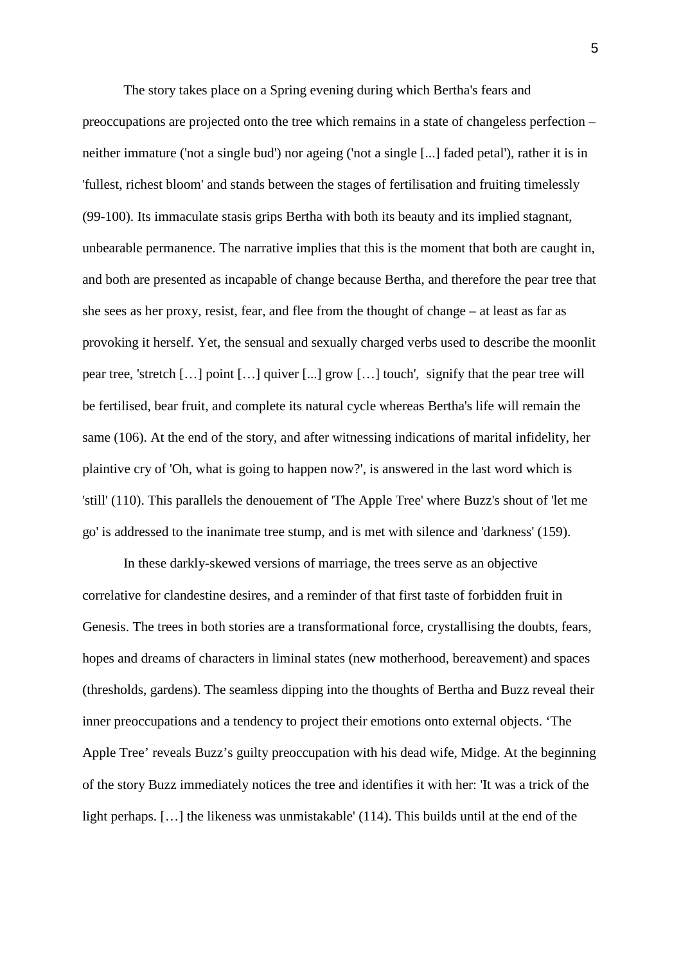<span id="page-5-2"></span><span id="page-5-1"></span><span id="page-5-0"></span>The story takes place on a Spring evening during which Bertha's fears and preoccupations are projected onto the tree which remains in a state of changeless perfection – neither immature ('not a single bud') nor ageing ('not a single [...] faded petal'), rather it is in 'fullest, richest bloom' and stands between the stages of fertilisation and fruiting timelessly (99-100). Its immaculate stasis grips Bertha with both its beauty and its implied stagnant, unbearable permanence. The narrative implies that this is the moment that both are caught in, and both are presented as incapable of change because Bertha, and therefore the pear tree that she sees as her proxy, resist, fear, and flee from the thought of change – at least as far as provoking it herself. Yet, the sensual and sexually charged verbs used to describe the moonlit pear tree, 'stretch […] point […] quiver [...] grow […] touch', signify that the pear tree will be fertilised, bear fruit, and complete its natural cycle whereas Bertha's life will remain the same (106). At the end of the story, and after witnessing indications of marital infidelity, her plaintive cry of 'Oh, what is going to happen now?', is answered in the last word which is 'still' (110). This parallels the denouement of 'The Apple Tree' where Buzz's shout of 'let me go' is addressed to the inanimate tree stump, and is met with silence and 'darkness' (159).

<span id="page-5-9"></span><span id="page-5-8"></span><span id="page-5-7"></span><span id="page-5-6"></span><span id="page-5-5"></span><span id="page-5-4"></span><span id="page-5-3"></span>In these darkly-skewed versions of marriage, the trees serve as an objective correlative for clandestine desires, and a reminder of that first taste of forbidden fruit in Genesis. The trees in both stories are a transformational force, crystallising the doubts, fears, hopes and dreams of characters in liminal states (new motherhood, bereavement) and spaces (thresholds, gardens). The seamless dipping into the thoughts of Bertha and Buzz reveal their inner preoccupations and a tendency to project their emotions onto external objects. 'The Apple Tree' reveals Buzz's guilty preoccupation with his dead wife, Midge. At the beginning of the story Buzz immediately notices the tree and identifies it with her: 'It was a trick of the light perhaps. […] the likeness was unmistakable' (114). This builds until at the end of the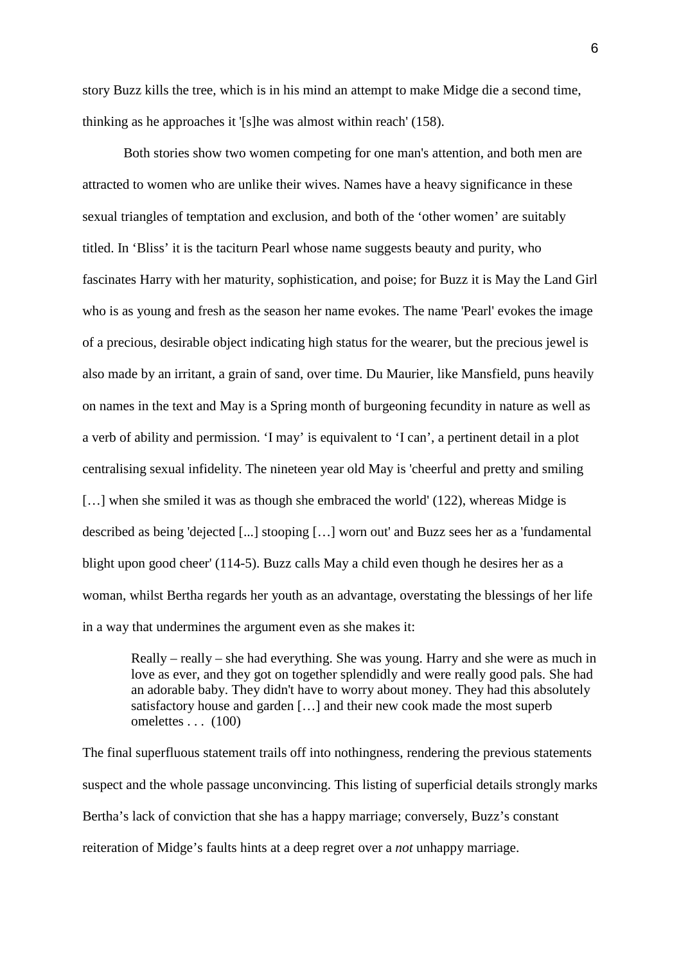<span id="page-6-0"></span>story Buzz kills the tree, which is in his mind an attempt to make Midge die a second time, thinking as he approaches it '[s]he was almost within reach' (158).

<span id="page-6-6"></span><span id="page-6-5"></span><span id="page-6-4"></span><span id="page-6-3"></span><span id="page-6-2"></span><span id="page-6-1"></span>Both stories show two women competing for one man's attention, and both men are attracted to women who are unlike their wives. Names have a heavy significance in these sexual triangles of temptation and exclusion, and both of the 'other women' are suitably titled. In 'Bliss' it is the taciturn Pearl whose name suggests beauty and purity, who fascinates Harry with her maturity, sophistication, and poise; for Buzz it is May the Land Girl who is as young and fresh as the season her name evokes. The name 'Pearl' evokes the image of a precious, desirable object indicating high status for the wearer, but the precious jewel is also made by an irritant, a grain of sand, over time. Du Maurier, like Mansfield, puns heavily on names in the text and May is a Spring month of burgeoning fecundity in nature as well as a verb of ability and permission. 'I may' is equivalent to 'I can', a pertinent detail in a plot centralising sexual infidelity. The nineteen year old May is 'cheerful and pretty and smiling [...] when she smiled it was as though she embraced the world' (122), whereas Midge is described as being 'dejected [...] stooping […] worn out' and Buzz sees her as a 'fundamental blight upon good cheer' (114-5). Buzz calls May a child even though he desires her as a woman, whilst Bertha regards her youth as an advantage, overstating the blessings of her life in a way that undermines the argument even as she makes it:

Really – really – she had everything. She was young. Harry and she were as much in love as ever, and they got on together splendidly and were really good pals. She had an adorable baby. They didn't have to worry about money. They had this absolutely satisfactory house and garden […] and their new cook made the most superb omelettes . . . (100)

The final superfluous statement trails off into nothingness, rendering the previous statements suspect and the whole passage unconvincing. This listing of superficial details strongly marks Bertha's lack of conviction that she has a happy marriage; conversely, Buzz's constant reiteration of Midge's faults hints at a deep regret over a *not* unhappy marriage.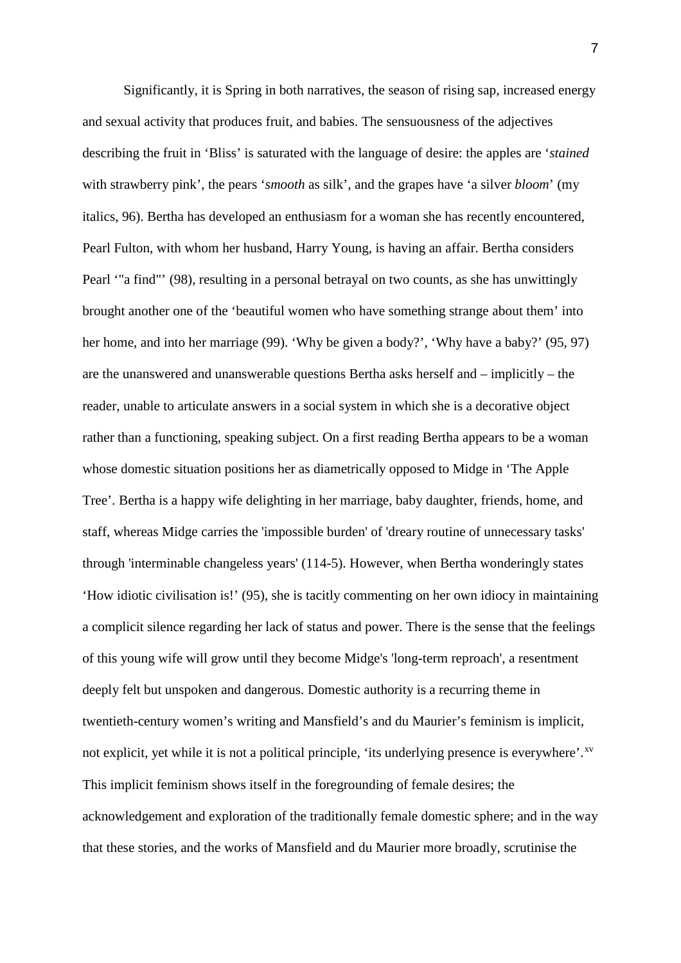Significantly, it is Spring in both narratives, the season of rising sap, increased energy and sexual activity that produces fruit, and babies. The sensuousness of the adjectives describing the fruit in 'Bliss' is saturated with the language of desire: the apples are '*stained* with strawberry pink', the pears '*smooth* as silk', and the grapes have 'a silver *bloom*' (my italics, 96). Bertha has developed an enthusiasm for a woman she has recently encountered, Pearl Fulton, with whom her husband, Harry Young, is having an affair. Bertha considers Pearl '"a find"' (98), resulting in a personal betrayal on two counts, as she has unwittingly brought another one of the 'beautiful women who have something strange about them' into her home, and into her marriage (99). 'Why be given a body?', 'Why have a baby?' (95, 97) are the unanswered and unanswerable questions Bertha asks herself and – implicitly – the reader, unable to articulate answers in a social system in which she is a decorative object rather than a functioning, speaking subject. On a first reading Bertha appears to be a woman whose domestic situation positions her as diametrically opposed to Midge in 'The Apple Tree'. Bertha is a happy wife delighting in her marriage, baby daughter, friends, home, and staff, whereas Midge carries the 'impossible burden' of 'dreary routine of unnecessary tasks' through 'interminable changeless years' (114-5). However, when Bertha wonderingly states 'How idiotic civilisation is!' (95), she is tacitly commenting on her own idiocy in maintaining a complicit silence regarding her lack of status and power. There is the sense that the feelings of this young wife will grow until they become Midge's 'long-term reproach', a resentment deeply felt but unspoken and dangerous. Domestic authority is a recurring theme in twentieth-century women's writing and Mansfield's and du Maurier's feminism is implicit, not explicit, yet while it is not a political principle, 'its underlying presence is everywhere'.<sup>[xv](#page-5-4)</sup> This implicit feminism shows itself in the foregrounding of female desires; the acknowledgement and exploration of the traditionally female domestic sphere; and in the way that these stories, and the works of Mansfield and du Maurier more broadly, scrutinise the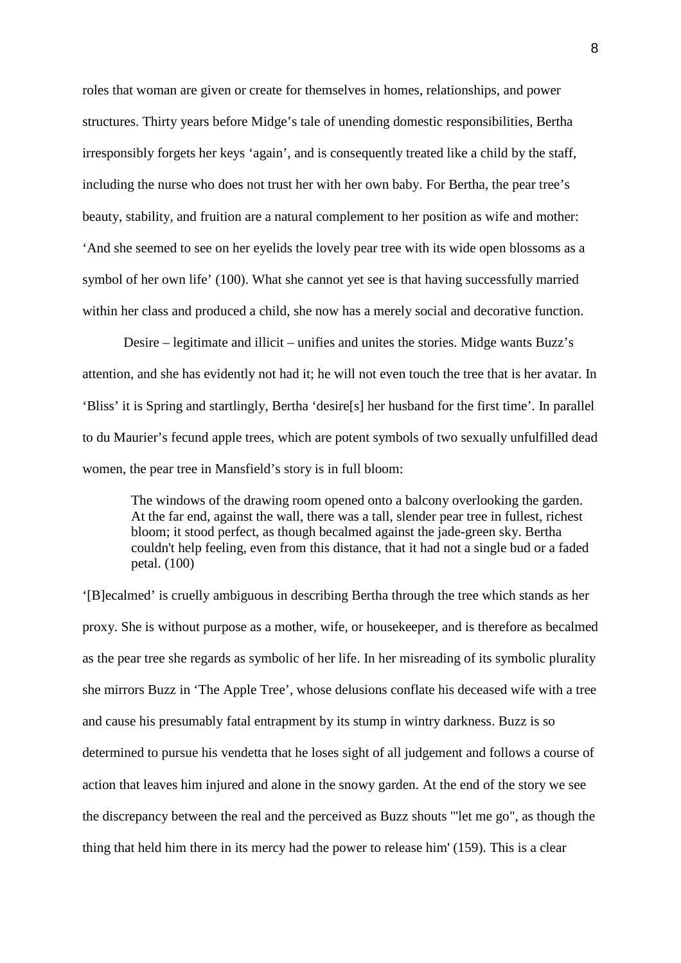roles that woman are given or create for themselves in homes, relationships, and power structures. Thirty years before Midge's tale of unending domestic responsibilities, Bertha irresponsibly forgets her keys 'again', and is consequently treated like a child by the staff, including the nurse who does not trust her with her own baby. For Bertha, the pear tree's beauty, stability, and fruition are a natural complement to her position as wife and mother: 'And she seemed to see on her eyelids the lovely pear tree with its wide open blossoms as a symbol of her own life' (100). What she cannot yet see is that having successfully married within her class and produced a child, she now has a merely social and decorative function.

Desire – legitimate and illicit – unifies and unites the stories. Midge wants Buzz's attention, and she has evidently not had it; he will not even touch the tree that is her avatar. In 'Bliss' it is Spring and startlingly, Bertha 'desire[s] her husband for the first time'. In parallel to du Maurier's fecund apple trees, which are potent symbols of two sexually unfulfilled dead women, the pear tree in Mansfield's story is in full bloom:

The windows of the drawing room opened onto a balcony overlooking the garden. At the far end, against the wall, there was a tall, slender pear tree in fullest, richest bloom; it stood perfect, as though becalmed against the jade-green sky. Bertha couldn't help feeling, even from this distance, that it had not a single bud or a faded petal. (100)

'[B]ecalmed' is cruelly ambiguous in describing Bertha through the tree which stands as her proxy. She is without purpose as a mother, wife, or housekeeper, and is therefore as becalmed as the pear tree she regards as symbolic of her life. In her misreading of its symbolic plurality she mirrors Buzz in 'The Apple Tree', whose delusions conflate his deceased wife with a tree and cause his presumably fatal entrapment by its stump in wintry darkness. Buzz is so determined to pursue his vendetta that he loses sight of all judgement and follows a course of action that leaves him injured and alone in the snowy garden. At the end of the story we see the discrepancy between the real and the perceived as Buzz shouts '"let me go", as though the thing that held him there in its mercy had the power to release him' (159). This is a clear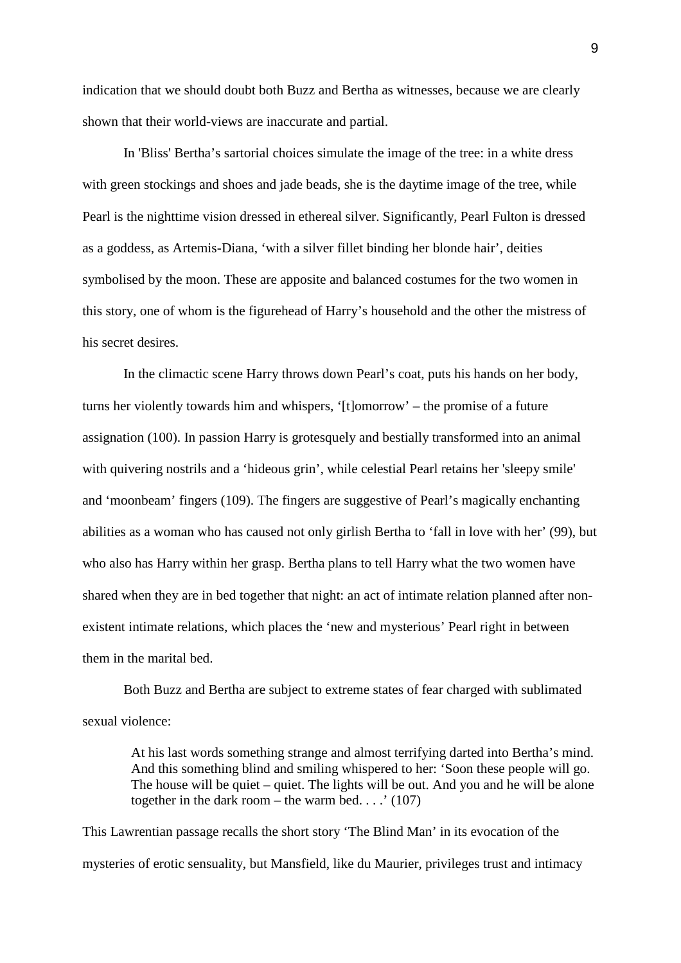indication that we should doubt both Buzz and Bertha as witnesses, because we are clearly shown that their world-views are inaccurate and partial.

In 'Bliss' Bertha's sartorial choices simulate the image of the tree: in a white dress with green stockings and shoes and jade beads, she is the daytime image of the tree, while Pearl is the nighttime vision dressed in ethereal silver. Significantly, Pearl Fulton is dressed as a goddess, as Artemis-Diana, 'with a silver fillet binding her blonde hair', deities symbolised by the moon. These are apposite and balanced costumes for the two women in this story, one of whom is the figurehead of Harry's household and the other the mistress of his secret desires.

In the climactic scene Harry throws down Pearl's coat, puts his hands on her body, turns her violently towards him and whispers, '[t]omorrow' – the promise of a future assignation (100). In passion Harry is grotesquely and bestially transformed into an animal with quivering nostrils and a 'hideous grin', while celestial Pearl retains her 'sleepy smile' and 'moonbeam' fingers (109). The fingers are suggestive of Pearl's magically enchanting abilities as a woman who has caused not only girlish Bertha to 'fall in love with her' (99), but who also has Harry within her grasp. Bertha plans to tell Harry what the two women have shared when they are in bed together that night: an act of intimate relation planned after nonexistent intimate relations, which places the 'new and mysterious' Pearl right in between them in the marital bed.

Both Buzz and Bertha are subject to extreme states of fear charged with sublimated sexual violence:

At his last words something strange and almost terrifying darted into Bertha's mind. And this something blind and smiling whispered to her: 'Soon these people will go. The house will be quiet – quiet. The lights will be out. And you and he will be alone together in the dark room – the warm bed....'  $(107)$ 

This Lawrentian passage recalls the short story 'The Blind Man' in its evocation of the mysteries of erotic sensuality, but Mansfield, like du Maurier, privileges trust and intimacy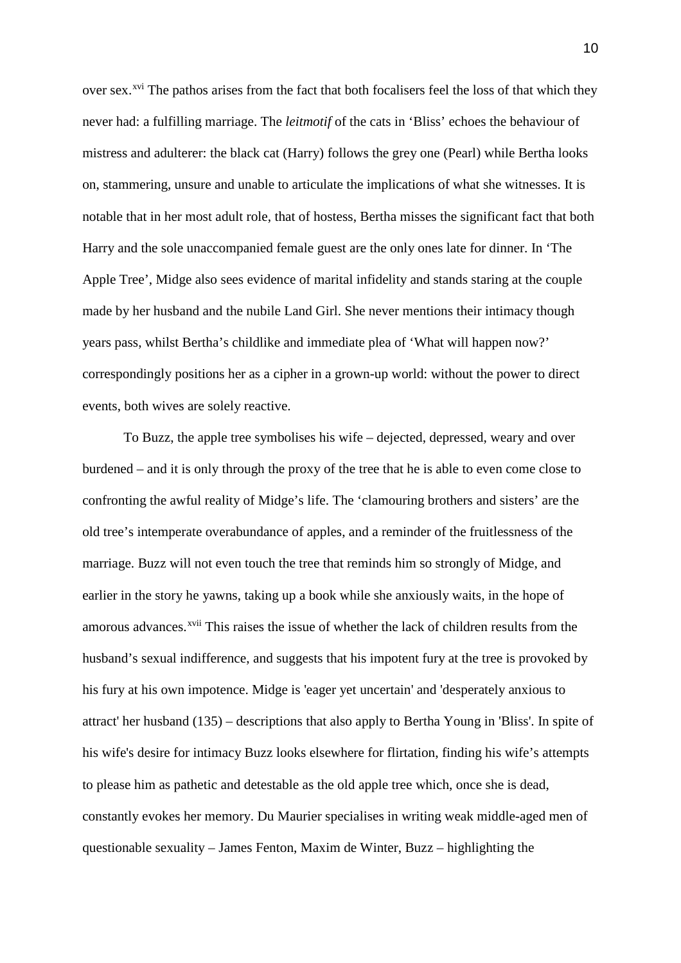over sex.<sup>[xvi](#page-5-5)</sup> The pathos arises from the fact that both focalisers feel the loss of that which they never had: a fulfilling marriage. The *leitmotif* of the cats in 'Bliss' echoes the behaviour of mistress and adulterer: the black cat (Harry) follows the grey one (Pearl) while Bertha looks on, stammering, unsure and unable to articulate the implications of what she witnesses. It is notable that in her most adult role, that of hostess, Bertha misses the significant fact that both Harry and the sole unaccompanied female guest are the only ones late for dinner. In 'The Apple Tree', Midge also sees evidence of marital infidelity and stands staring at the couple made by her husband and the nubile Land Girl. She never mentions their intimacy though years pass, whilst Bertha's childlike and immediate plea of 'What will happen now?' correspondingly positions her as a cipher in a grown-up world: without the power to direct events, both wives are solely reactive.

To Buzz, the apple tree symbolises his wife – dejected, depressed, weary and over burdened – and it is only through the proxy of the tree that he is able to even come close to confronting the awful reality of Midge's life. The 'clamouring brothers and sisters' are the old tree's intemperate overabundance of apples, and a reminder of the fruitlessness of the marriage. Buzz will not even touch the tree that reminds him so strongly of Midge, and earlier in the story he yawns, taking up a book while she anxiously waits, in the hope of amorous advances.<sup>[xvii](#page-5-6)</sup> This raises the issue of whether the lack of children results from the husband's sexual indifference, and suggests that his impotent fury at the tree is provoked by his fury at his own impotence. Midge is 'eager yet uncertain' and 'desperately anxious to attract' her husband (135) – descriptions that also apply to Bertha Young in 'Bliss'. In spite of his wife's desire for intimacy Buzz looks elsewhere for flirtation, finding his wife's attempts to please him as pathetic and detestable as the old apple tree which, once she is dead, constantly evokes her memory. Du Maurier specialises in writing weak middle-aged men of questionable sexuality – James Fenton, Maxim de Winter, Buzz – highlighting the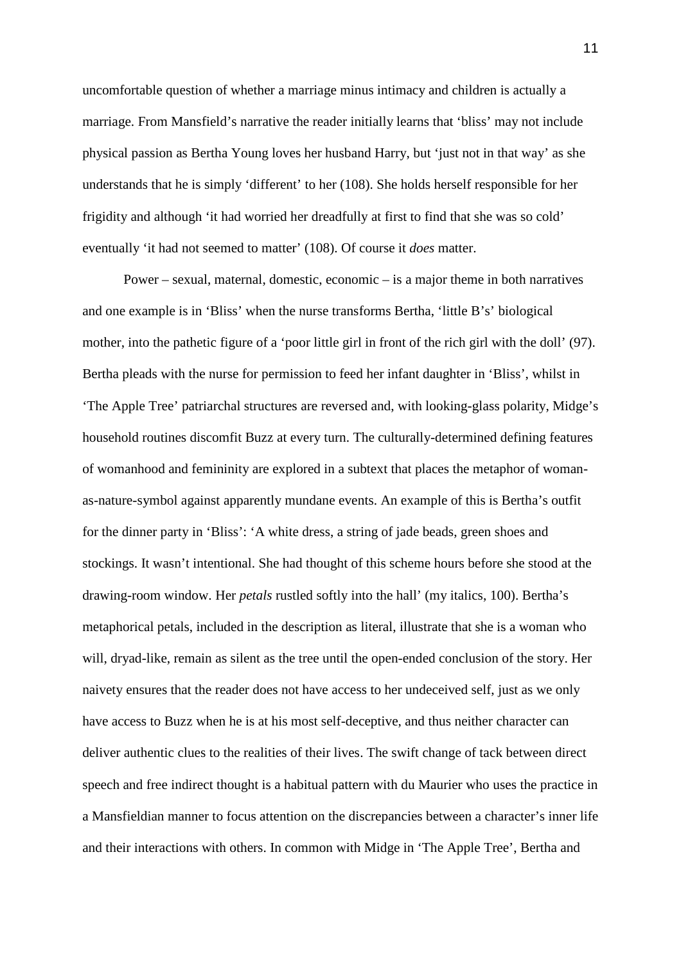uncomfortable question of whether a marriage minus intimacy and children is actually a marriage. From Mansfield's narrative the reader initially learns that 'bliss' may not include physical passion as Bertha Young loves her husband Harry, but 'just not in that way' as she understands that he is simply 'different' to her (108). She holds herself responsible for her frigidity and although 'it had worried her dreadfully at first to find that she was so cold' eventually 'it had not seemed to matter' (108). Of course it *does* matter.

Power – sexual, maternal, domestic, economic – is a major theme in both narratives and one example is in 'Bliss' when the nurse transforms Bertha, 'little B's' biological mother, into the pathetic figure of a 'poor little girl in front of the rich girl with the doll' (97). Bertha pleads with the nurse for permission to feed her infant daughter in 'Bliss', whilst in 'The Apple Tree' patriarchal structures are reversed and, with looking-glass polarity, Midge's household routines discomfit Buzz at every turn. The culturally-determined defining features of womanhood and femininity are explored in a subtext that places the metaphor of womanas-nature-symbol against apparently mundane events. An example of this is Bertha's outfit for the dinner party in 'Bliss': 'A white dress, a string of jade beads, green shoes and stockings. It wasn't intentional. She had thought of this scheme hours before she stood at the drawing-room window. Her *petals* rustled softly into the hall' (my italics, 100). Bertha's metaphorical petals, included in the description as literal, illustrate that she is a woman who will, dryad-like, remain as silent as the tree until the open-ended conclusion of the story. Her naivety ensures that the reader does not have access to her undeceived self, just as we only have access to Buzz when he is at his most self-deceptive, and thus neither character can deliver authentic clues to the realities of their lives. The swift change of tack between direct speech and free indirect thought is a habitual pattern with du Maurier who uses the practice in a Mansfieldian manner to focus attention on the discrepancies between a character's inner life and their interactions with others. In common with Midge in 'The Apple Tree', Bertha and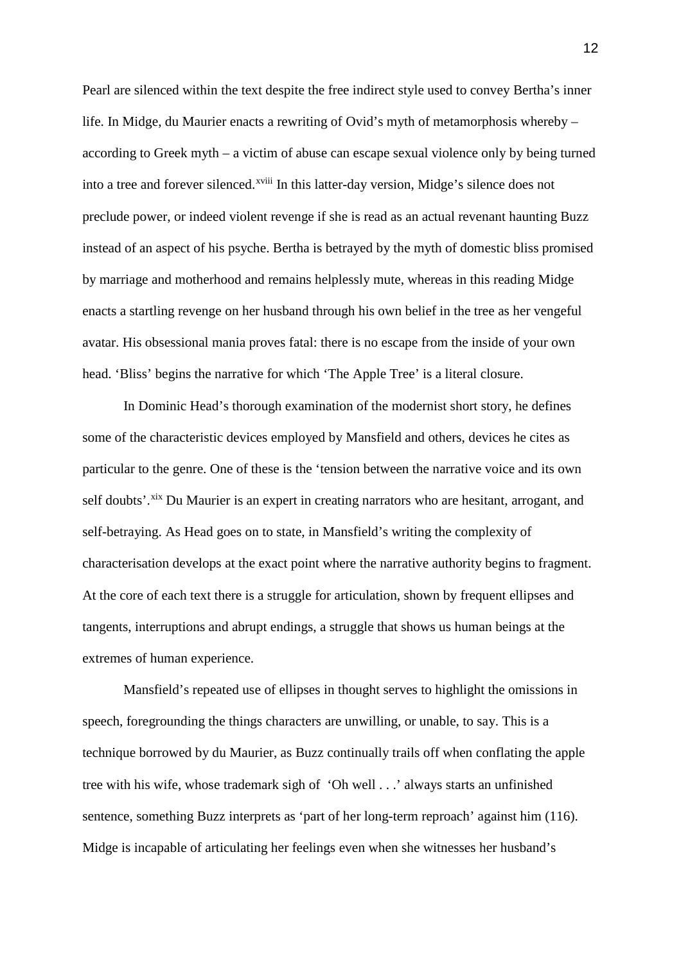Pearl are silenced within the text despite the free indirect style used to convey Bertha's inner life. In Midge, du Maurier enacts a rewriting of Ovid's myth of metamorphosis whereby – according to Greek myth – a victim of abuse can escape sexual violence only by being turned [i](#page-5-7)nto a tree and forever silenced.<sup>xviii</sup> In this latter-day version, Midge's silence does not preclude power, or indeed violent revenge if she is read as an actual revenant haunting Buzz instead of an aspect of his psyche. Bertha is betrayed by the myth of domestic bliss promised by marriage and motherhood and remains helplessly mute, whereas in this reading Midge enacts a startling revenge on her husband through his own belief in the tree as her vengeful avatar. His obsessional mania proves fatal: there is no escape from the inside of your own head. 'Bliss' begins the narrative for which 'The Apple Tree' is a literal closure.

In Dominic Head's thorough examination of the modernist short story, he defines some of the characteristic devices employed by Mansfield and others, devices he cites as particular to the genre. One of these is the 'tension between the narrative voice and its own self doubts'.<sup>[xix](#page-5-8)</sup> Du Maurier is an expert in creating narrators who are hesitant, arrogant, and self-betraying. As Head goes on to state, in Mansfield's writing the complexity of characterisation develops at the exact point where the narrative authority begins to fragment. At the core of each text there is a struggle for articulation, shown by frequent ellipses and tangents, interruptions and abrupt endings, a struggle that shows us human beings at the extremes of human experience.

Mansfield's repeated use of ellipses in thought serves to highlight the omissions in speech, foregrounding the things characters are unwilling, or unable, to say. This is a technique borrowed by du Maurier, as Buzz continually trails off when conflating the apple tree with his wife, whose trademark sigh of 'Oh well . . .' always starts an unfinished sentence, something Buzz interprets as 'part of her long-term reproach' against him (116). Midge is incapable of articulating her feelings even when she witnesses her husband's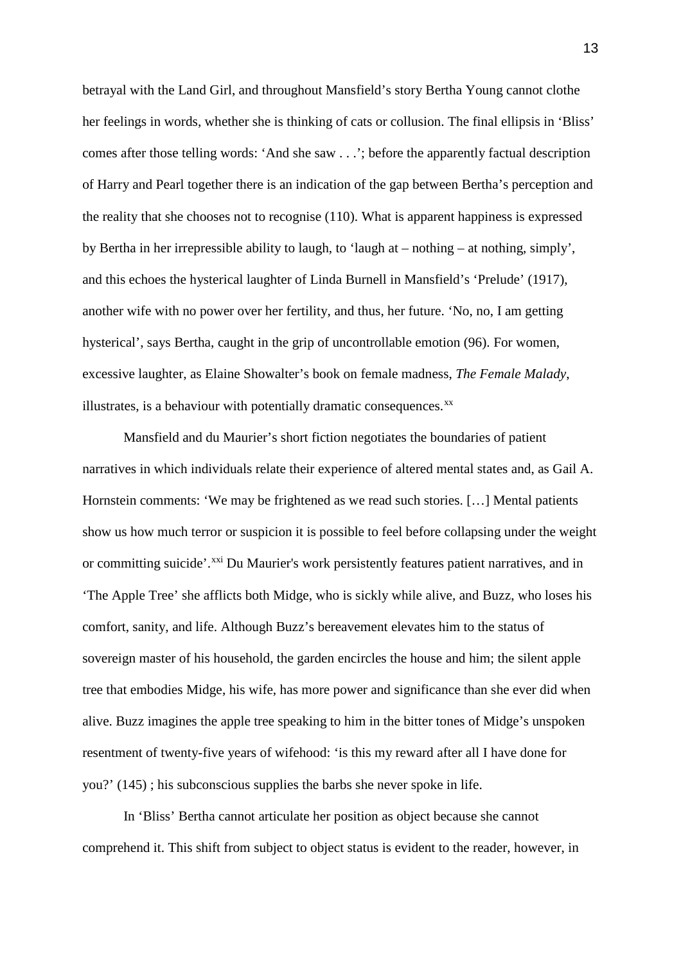betrayal with the Land Girl, and throughout Mansfield's story Bertha Young cannot clothe her feelings in words, whether she is thinking of cats or collusion. The final ellipsis in 'Bliss' comes after those telling words: 'And she saw . . .'; before the apparently factual description of Harry and Pearl together there is an indication of the gap between Bertha's perception and the reality that she chooses not to recognise (110). What is apparent happiness is expressed by Bertha in her irrepressible ability to laugh, to 'laugh at – nothing – at nothing, simply', and this echoes the hysterical laughter of Linda Burnell in Mansfield's 'Prelude' (1917), another wife with no power over her fertility, and thus, her future. 'No, no, I am getting hysterical', says Bertha, caught in the grip of uncontrollable emotion (96). For women, excessive laughter, as Elaine Showalter's book on female madness, *The Female Malady*, illustrates, is a behaviour with potentially dramatic consequences.<sup>[xx](#page-5-9)</sup>

Mansfield and du Maurier's short fiction negotiates the boundaries of patient narratives in which individuals relate their experience of altered mental states and, as Gail A. Hornstein comments: 'We may be frightened as we read such stories. […] Mental patients show us how much terror or suspicion it is possible to feel before collapsing under the weight or committing suicide'.<sup>[xxi](#page-6-0)</sup> Du Maurier's work persistently features patient narratives, and in 'The Apple Tree' she afflicts both Midge, who is sickly while alive, and Buzz, who loses his comfort, sanity, and life. Although Buzz's bereavement elevates him to the status of sovereign master of his household, the garden encircles the house and him; the silent apple tree that embodies Midge, his wife, has more power and significance than she ever did when alive. Buzz imagines the apple tree speaking to him in the bitter tones of Midge's unspoken resentment of twenty-five years of wifehood: 'is this my reward after all I have done for you?' (145) ; his subconscious supplies the barbs she never spoke in life.

In 'Bliss' Bertha cannot articulate her position as object because she cannot comprehend it. This shift from subject to object status is evident to the reader, however, in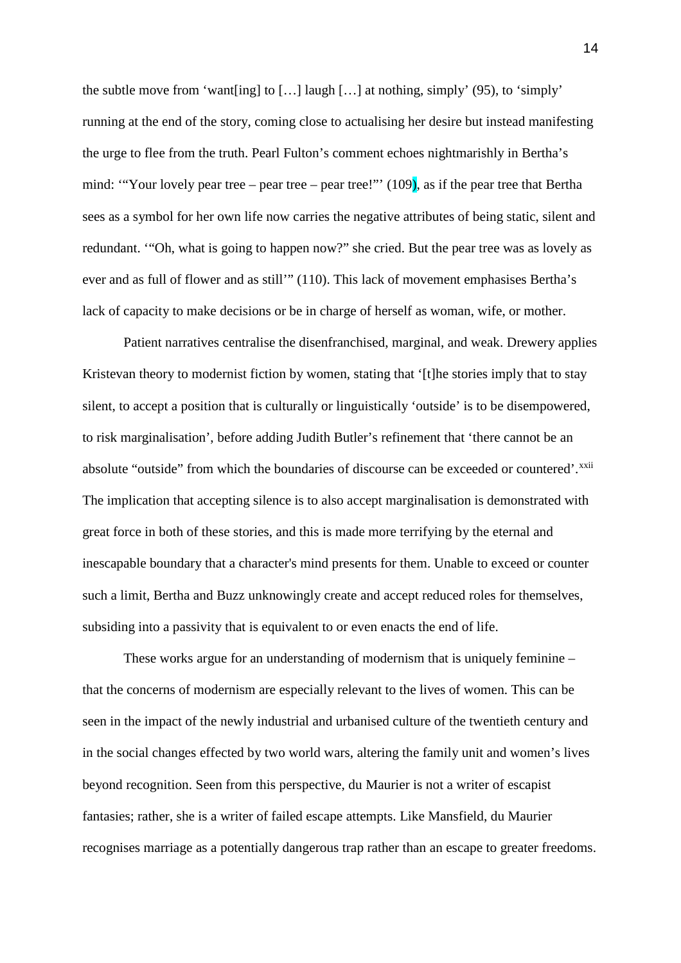the subtle move from 'want [ing] to [...] laugh [...] at nothing, simply' (95), to 'simply' running at the end of the story, coming close to actualising her desire but instead manifesting the urge to flee from the truth. Pearl Fulton's comment echoes nightmarishly in Bertha's mind: "Your lovely pear tree – pear tree – pear tree!"  $(109)$ , as if the pear tree that Bertha sees as a symbol for her own life now carries the negative attributes of being static, silent and redundant. '"Oh, what is going to happen now?" she cried. But the pear tree was as lovely as ever and as full of flower and as still'" (110). This lack of movement emphasises Bertha's lack of capacity to make decisions or be in charge of herself as woman, wife, or mother.

Patient narratives centralise the disenfranchised, marginal, and weak. Drewery applies Kristevan theory to modernist fiction by women, stating that '[t]he stories imply that to stay silent, to accept a position that is culturally or linguistically 'outside' is to be disempowered, to risk marginalisation', before adding Judith Butler's refinement that 'there cannot be an absolute "outside" from which the boundaries of discourse can be exceeded or countered'.<sup>[xxii](#page-6-1)</sup> The implication that accepting silence is to also accept marginalisation is demonstrated with great force in both of these stories, and this is made more terrifying by the eternal and inescapable boundary that a character's mind presents for them. Unable to exceed or counter such a limit, Bertha and Buzz unknowingly create and accept reduced roles for themselves, subsiding into a passivity that is equivalent to or even enacts the end of life.

These works argue for an understanding of modernism that is uniquely feminine – that the concerns of modernism are especially relevant to the lives of women. This can be seen in the impact of the newly industrial and urbanised culture of the twentieth century and in the social changes effected by two world wars, altering the family unit and women's lives beyond recognition. Seen from this perspective, du Maurier is not a writer of escapist fantasies; rather, she is a writer of failed escape attempts. Like Mansfield, du Maurier recognises marriage as a potentially dangerous trap rather than an escape to greater freedoms.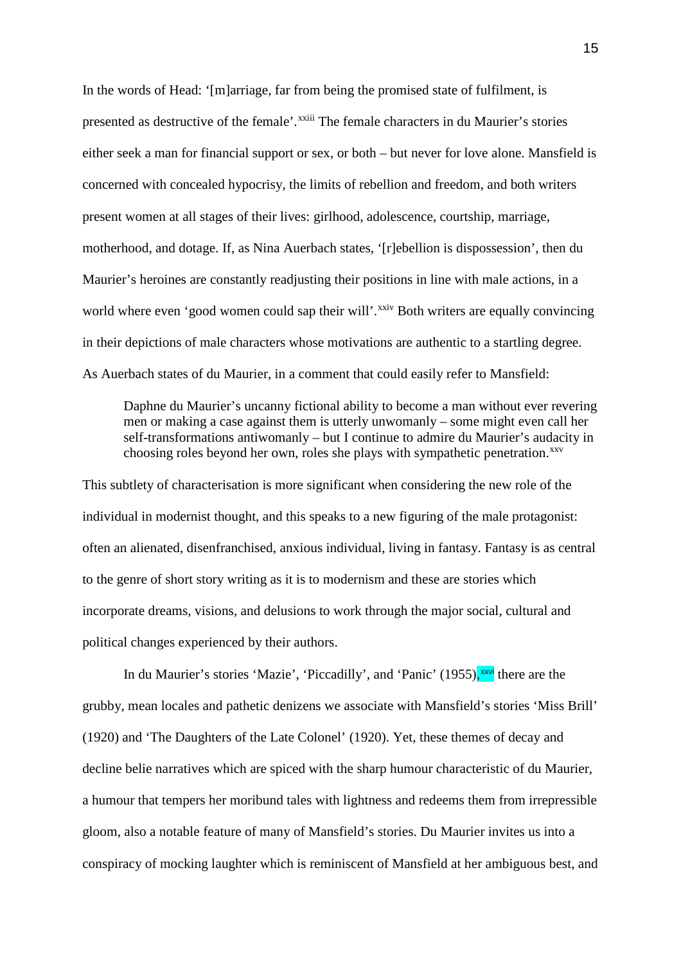In the words of Head: '[m]arriage, far from being the promised state of fulfilment, is presented as destruct[i](#page-6-2)ve of the female'.<sup>xxiii</sup> The female characters in du Maurier's stories either seek a man for financial support or sex, or both – but never for love alone. Mansfield is concerned with concealed hypocrisy, the limits of rebellion and freedom, and both writers present women at all stages of their lives: girlhood, adolescence, courtship, marriage, motherhood, and dotage. If, as Nina Auerbach states, '[r]ebellion is dispossession', then du Maurier's heroines are constantly readjusting their positions in line with male actions, in a world where even 'good women could sap their will'.<sup>[xxiv](#page-6-3)</sup> Both writers are equally convincing in their depictions of male characters whose motivations are authentic to a startling degree. As Auerbach states of du Maurier, in a comment that could easily refer to Mansfield:

Daphne du Maurier's uncanny fictional ability to become a man without ever revering men or making a case against them is utterly unwomanly – some might even call her self-transformations antiwomanly – but I continue to admire du Maurier's audacity in choosing roles beyond her own, roles she plays with sympathetic penetration.<sup>[xxv](#page-6-4)</sup>

This subtlety of characterisation is more significant when considering the new role of the individual in modernist thought, and this speaks to a new figuring of the male protagonist: often an alienated, disenfranchised, anxious individual, living in fantasy. Fantasy is as central to the genre of short story writing as it is to modernism and these are stories which incorporate dreams, visions, and delusions to work through the major social, cultural and political changes experienced by their authors.

In du Maurier's stories 'Mazie', 'Piccadilly', and 'Panic' (1955), [xxvi](#page-6-5) there are the grubby, mean locales and pathetic denizens we associate with Mansfield's stories 'Miss Brill' (1920) and 'The Daughters of the Late Colonel' (1920). Yet, these themes of decay and decline belie narratives which are spiced with the sharp humour characteristic of du Maurier, a humour that tempers her moribund tales with lightness and redeems them from irrepressible gloom, also a notable feature of many of Mansfield's stories. Du Maurier invites us into a conspiracy of mocking laughter which is reminiscent of Mansfield at her ambiguous best, and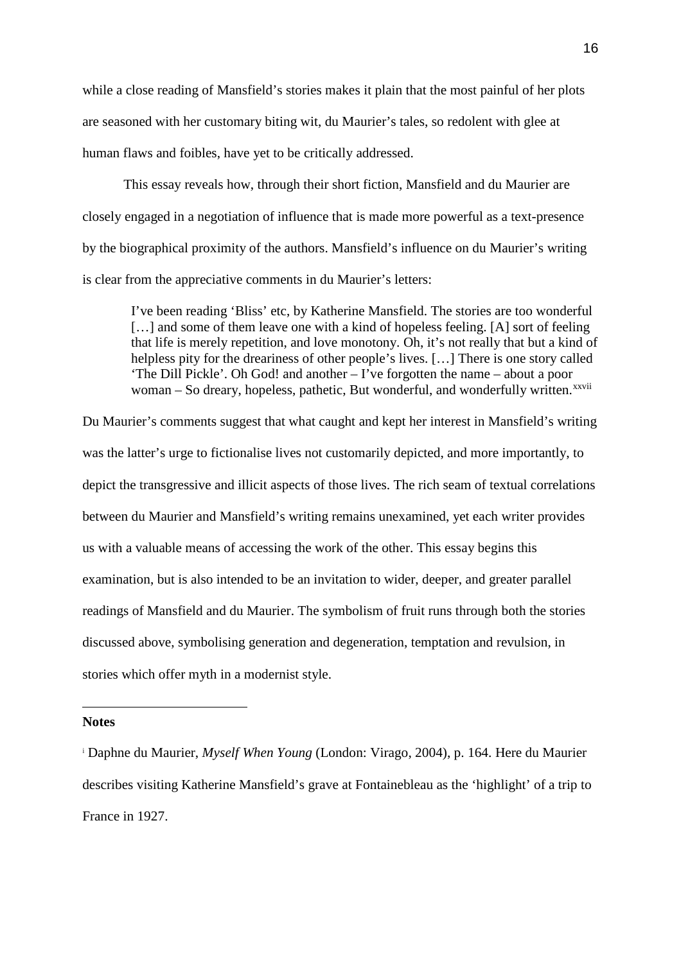while a close reading of Mansfield's stories makes it plain that the most painful of her plots are seasoned with her customary biting wit, du Maurier's tales, so redolent with glee at human flaws and foibles, have yet to be critically addressed.

This essay reveals how, through their short fiction, Mansfield and du Maurier are closely engaged in a negotiation of influence that is made more powerful as a text-presence by the biographical proximity of the authors. Mansfield's influence on du Maurier's writing is clear from the appreciative comments in du Maurier's letters:

I've been reading 'Bliss' etc, by Katherine Mansfield. The stories are too wonderful [...] and some of them leave one with a kind of hopeless feeling. [A] sort of feeling that life is merely repetition, and love monotony. Oh, it's not really that but a kind of helpless pity for the dreariness of other people's lives. [...] There is one story called 'The Dill Pickle'. Oh God! and another – I've forgotten the name – about a poor woman – So dreary, hopeless, pathet[i](#page-6-6)c, But wonderful, and wonderfully written.<sup>xxvii</sup>

Du Maurier's comments suggest that what caught and kept her interest in Mansfield's writing was the latter's urge to fictionalise lives not customarily depicted, and more importantly, to depict the transgressive and illicit aspects of those lives. The rich seam of textual correlations between du Maurier and Mansfield's writing remains unexamined, yet each writer provides us with a valuable means of accessing the work of the other. This essay begins this examination, but is also intended to be an invitation to wider, deeper, and greater parallel readings of Mansfield and du Maurier. The symbolism of fruit runs through both the stories discussed above, symbolising generation and degeneration, temptation and revulsion, in stories which offer myth in a modernist style.

## **Notes**

 $\overline{a}$ 

<sup>i</sup> Daphne du Maurier, *Myself When Young* (London: Virago, 2004), p. 164. Here du Maurier describes visiting Katherine Mansfield's grave at Fontainebleau as the 'highlight' of a trip to France in 1927.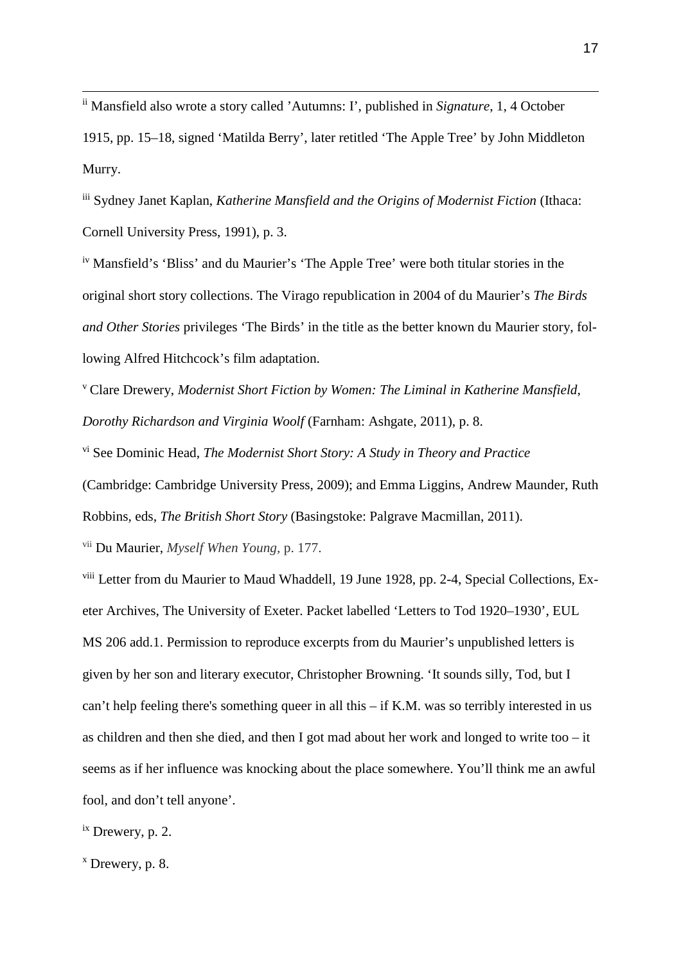ii Mansfield also wrote <sup>a</sup> story called 'Autumns: I', published in *Signature*, 1, <sup>4</sup> October

1915, pp. 15–18, signed 'Matilda Berry', later retitled 'The Apple Tree' by John Middleton Murry.

iii Sydney Janet Kaplan, *Katherine Mansfield and the Origins of Modernist Fiction* (Ithaca: Cornell University Press, 1991), p. 3.

iv Mansfield's 'Bliss' and du Maurier's 'The Apple Tree' were both titular stories in the original short story collections. The Virago republication in 2004 of du Maurier's *The Birds and Other Stories* privileges 'The Birds' in the title as the better known du Maurier story, following Alfred Hitchcock's film adaptation.

<sup>v</sup> Clare Drewery, *Modernist Short Fiction by Women: The Liminal in Katherine Mansfield, Dorothy Richardson and Virginia Woolf* (Farnham: Ashgate, 2011), p. 8.

vi See Dominic Head, *The Modernist Short Story: A Study in Theory and Practice*

(Cambridge: Cambridge University Press, 2009); and Emma Liggins, Andrew Maunder, Ruth

Robbins, eds, *The British Short Story* (Basingstoke: Palgrave Macmillan, 2011).

vii Du Maurier, *Myself When Young,* p. 177.

viii Letter from du Maurier to Maud Whaddell, 19 June 1928, pp. 2-4, Special Collections, Exeter Archives, The University of Exeter. Packet labelled 'Letters to Tod 1920–1930', EUL MS 206 add.1. Permission to reproduce excerpts from du Maurier's unpublished letters is given by her son and literary executor, Christopher Browning. 'It sounds silly, Tod, but I can't help feeling there's something queer in all this – if K.M. was so terribly interested in us as children and then she died, and then I got mad about her work and longed to write too – it seems as if her influence was knocking about the place somewhere. You'll think me an awful fool, and don't tell anyone'.

ix Drewery, p. 2.

 $x$  Drewery, p. 8.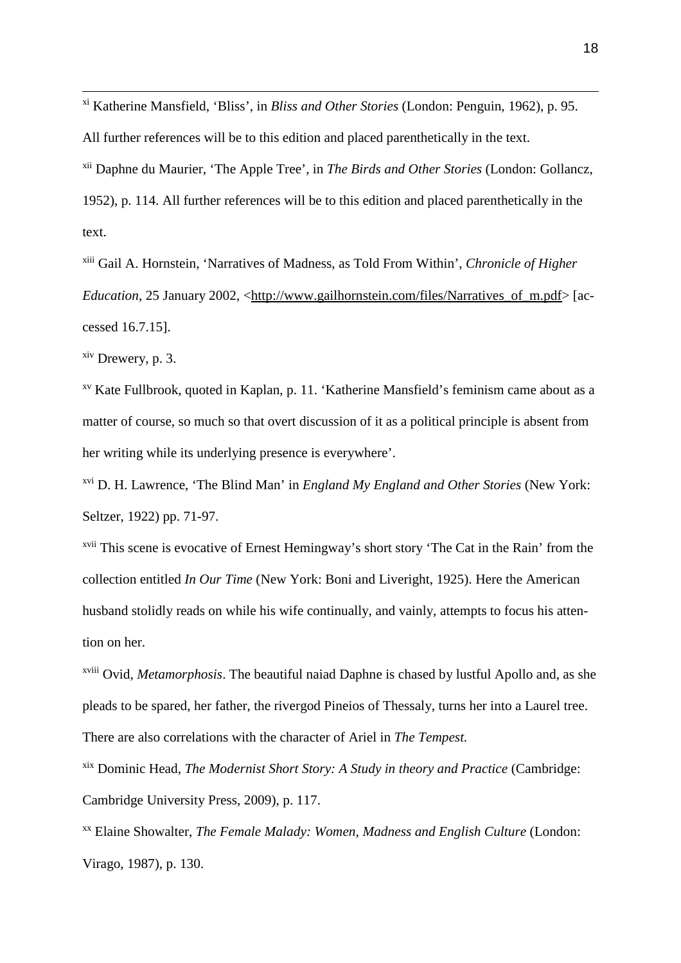xi Katherine Mansfield, 'Bliss', in *Bliss and Other Stories* (London: Penguin, 1962), p. 95. All further references will be to this edition and placed parenthetically in the text. xii Daphne du Maurier, 'The Apple Tree', in *The Birds and Other Stories* (London: Gollancz, 1952), p. 114. All further references will be to this edition and placed parenthetically in the text.

xiii Gail A. Hornstein, 'Narratives of Madness, as Told From Within', *Chronicle of Higher Education*, 25 January 2002, <http://www.gailhornstein.com/files/Narratives of m.pdf> [accessed 16.7.15].

 $x<sup>ix</sup>$  Drewery, p. 3.

xv Kate Fullbrook, quoted in Kaplan, p. 11. 'Katherine Mansfield's feminism came about as a matter of course, so much so that overt discussion of it as a political principle is absent from her writing while its underlying presence is everywhere'.

xvi D. H. Lawrence, 'The Blind Man' in *England My England and Other Stories* (New York: Seltzer, 1922) pp. 71-97.

xvii This scene is evocative of Ernest Hemingway's short story 'The Cat in the Rain' from the collection entitled *In Our Time* (New York: Boni and Liveright, 1925). Here the American husband stolidly reads on while his wife continually, and vainly, attempts to focus his attention on her.

xviii Ovid, *Metamorphosis*. The beautiful naiad Daphne is chased by lustful Apollo and, as she pleads to be spared, her father, the rivergod Pineios of Thessaly, turns her into a Laurel tree. There are also correlations with the character of Ariel in *The Tempest.*

xix Dominic Head, *The Modernist Short Story: A Study in theory and Practice* (Cambridge: Cambridge University Press, 2009), p. 117.

xx Elaine Showalter, *The Female Malady: Women, Madness and English Culture* (London: Virago, 1987), p. 130.